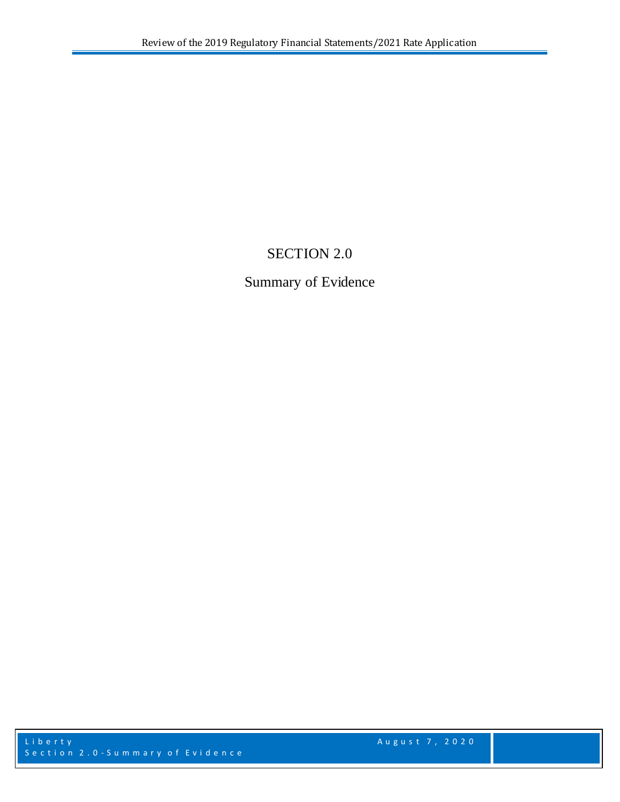# SECTION 2.0

# Summary of Evidence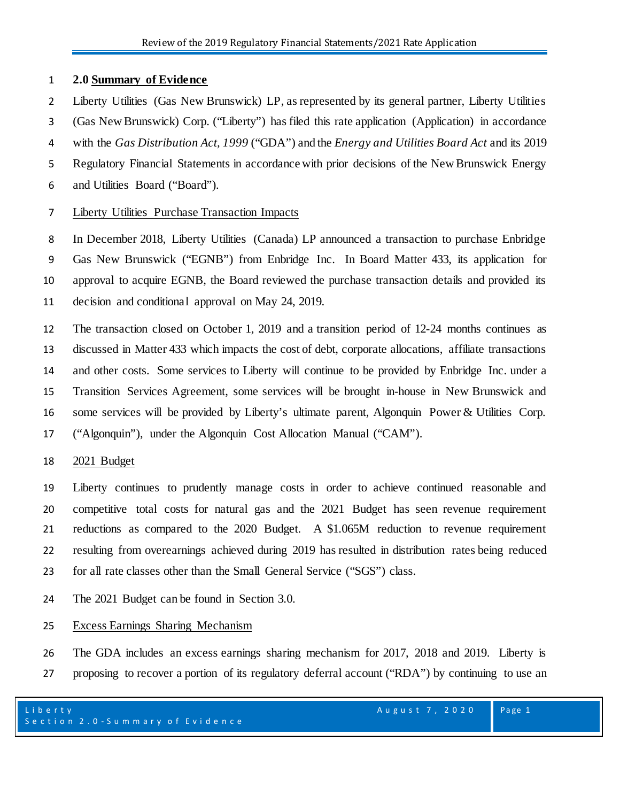## **2.0 Summary of Evidence**

- Liberty Utilities (Gas New Brunswick) LP, as represented by its general partner, Liberty Utilities
- (Gas New Brunswick) Corp. ("Liberty") has filed this rate application (Application) in accordance
- with the *Gas Distribution Act, 1999* ("GDA") and the *Energy and Utilities Board Act* and its 2019
- Regulatory Financial Statements in accordance with prior decisions of the New Brunswick Energy
- and Utilities Board ("Board")*.*

# Liberty Utilities Purchase Transaction Impacts

 In December 2018, Liberty Utilities (Canada) LP announced a transaction to purchase Enbridge Gas New Brunswick ("EGNB") from Enbridge Inc. In Board Matter 433, its application for approval to acquire EGNB, the Board reviewed the purchase transaction details and provided its decision and conditional approval on May 24, 2019.

 The transaction closed on October 1, 2019 and a transition period of 12-24 months continues as discussed in Matter 433 which impacts the cost of debt, corporate allocations, affiliate transactions and other costs. Some services to Liberty will continue to be provided by Enbridge Inc. under a Transition Services Agreement, some services will be brought in-house in New Brunswick and some services will be provided by Liberty's ultimate parent, Algonquin Power & Utilities Corp. ("Algonquin"), under the Algonquin Cost Allocation Manual ("CAM").

# 2021 Budget

 Liberty continues to prudently manage costs in order to achieve continued reasonable and competitive total costs for natural gas and the 2021 Budget has seen revenue requirement reductions as compared to the 2020 Budget. A \$1.065M reduction to revenue requirement resulting from overearnings achieved during 2019 has resulted in distribution rates being reduced for all rate classes other than the Small General Service ("SGS") class.

The 2021 Budget can be found in Section 3.0.

# Excess Earnings Sharing Mechanism

 The GDA includes an excess earnings sharing mechanism for 2017, 2018 and 2019. Liberty is proposing to recover a portion of its regulatory deferral account ("RDA") by continuing to use an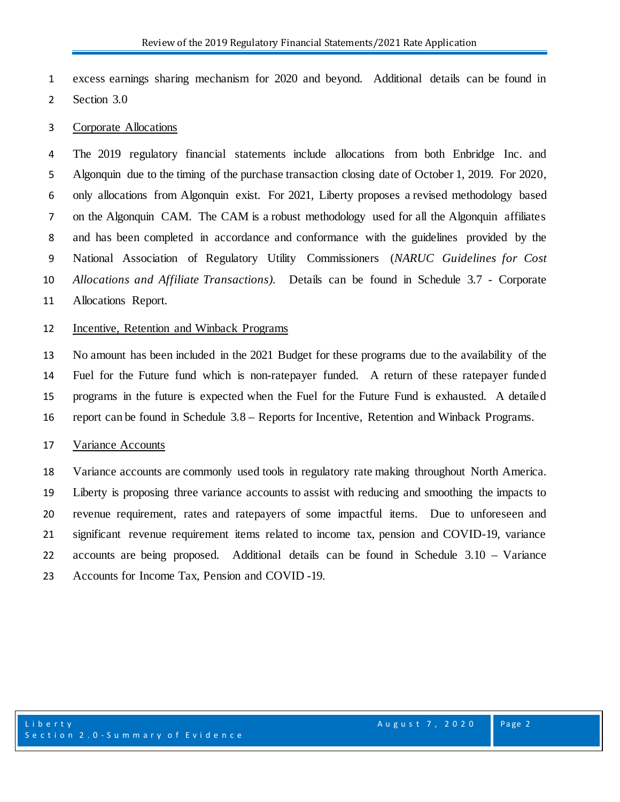excess earnings sharing mechanism for 2020 and beyond. Additional details can be found in

Section 3.0

#### Corporate Allocations

 The 2019 regulatory financial statements include allocations from both Enbridge Inc. and Algonquin due to the timing of the purchase transaction closing date of October 1, 2019. For 2020, only allocations from Algonquin exist. For 2021, Liberty proposes a revised methodology based on the Algonquin CAM. The CAM is a robust methodology used for all the Algonquin affiliates and has been completed in accordance and conformance with the guidelines provided by the National Association of Regulatory Utility Commissioners (*NARUC Guidelines for Cost Allocations and Affiliate Transactions).* Details can be found in Schedule 3.7 - Corporate Allocations Report.

### Incentive, Retention and Winback Programs

 No amount has been included in the 2021 Budget for these programs due to the availability of the Fuel for the Future fund which is non-ratepayer funded. A return of these ratepayer funded programs in the future is expected when the Fuel for the Future Fund is exhausted. A detailed report can be found in Schedule 3.8 – Reports for Incentive, Retention and Winback Programs.

#### Variance Accounts

 Variance accounts are commonly used tools in regulatory rate making throughout North America. Liberty is proposing three variance accounts to assist with reducing and smoothing the impacts to revenue requirement, rates and ratepayers of some impactful items. Due to unforeseen and significant revenue requirement items related to income tax, pension and COVID-19, variance accounts are being proposed. Additional details can be found in Schedule 3.10 – Variance Accounts for Income Tax, Pension and COVID -19.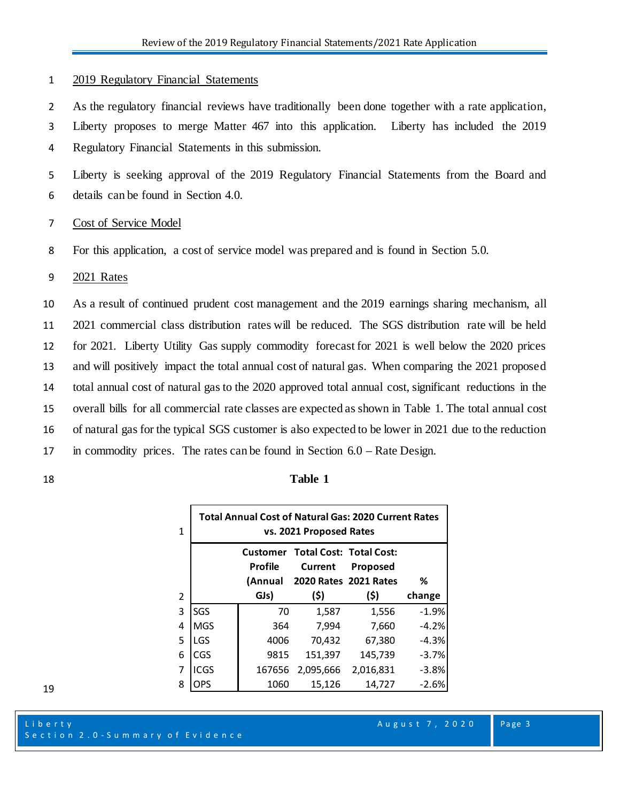#### 1 2019 Regulatory Financial Statements

2 As the regulatory financial reviews have traditionally been done together with a rate application,

- 3 Liberty proposes to merge Matter 467 into this application. Liberty has included the 2019
- 4 Regulatory Financial Statements in this submission.

5 Liberty is seeking approval of the 2019 Regulatory Financial Statements from the Board and 6 details can be found in Section 4.0.

#### 7 Cost of Service Model

8 For this application, a cost of service model was prepared and is found in Section 5.0.

#### 9 2021 Rates

 As a result of continued prudent cost management and the 2019 earnings sharing mechanism, all 2021 commercial class distribution rates will be reduced. The SGS distribution rate will be held for 2021. Liberty Utility Gas supply commodity forecast for 2021 is well below the 2020 prices and will positively impact the total annual cost of natural gas. When comparing the 2021 proposed total annual cost of natural gas to the 2020 approved total annual cost, significant reductions in the overall bills for all commercial rate classes are expected as shown in Table 1. The total annual cost of natural gas for the typical SGS customer is also expected to be lower in 2021 due to the reduction in commodity prices. The rates can be found in Section 6.0 – Rate Design.

#### 18 **Table 1**

| 1 | <b>Total Annual Cost of Natural Gas: 2020 Current Rates</b><br>vs. 2021 Proposed Rates |                           |                                                                             |                 |         |
|---|----------------------------------------------------------------------------------------|---------------------------|-----------------------------------------------------------------------------|-----------------|---------|
|   |                                                                                        | <b>Profile</b><br>(Annual | <b>Customer Total Cost: Total Cost:</b><br>Current<br>2020 Rates 2021 Rates | <b>Proposed</b> | %       |
| 2 |                                                                                        | GJs)                      | (5)                                                                         | (\$)            | change  |
| 3 | SGS                                                                                    | 70                        | 1.587                                                                       | 1,556           | $-1.9%$ |
| 4 | <b>MGS</b>                                                                             | 364                       | 7,994                                                                       | 7,660           | $-4.2%$ |
| 5 | LGS                                                                                    | 4006                      | 70,432                                                                      | 67,380          | $-4.3%$ |
| 6 | CGS                                                                                    | 9815                      | 151,397                                                                     | 145,739         | $-3.7%$ |
| 7 | ICGS                                                                                   | 167656                    | 2,095,666                                                                   | 2,016,831       | $-3.8%$ |
| 8 | OPS                                                                                    | 1060                      | 15,126                                                                      | 14.727          | $-2.6%$ |